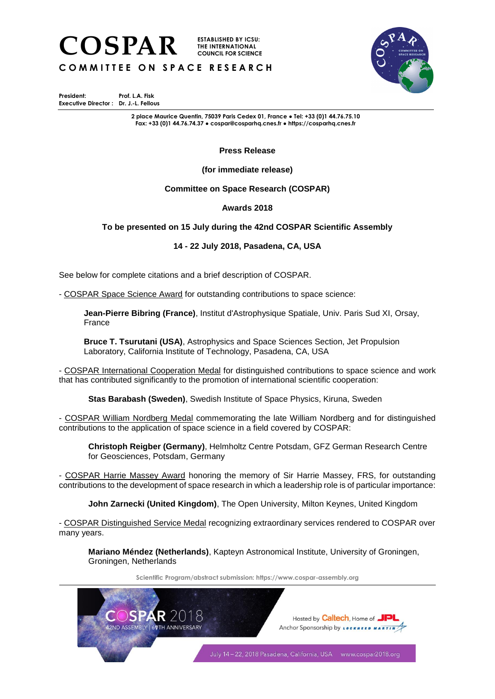#### **COSPAR COMMITTEE ON SPACE RESEARCH ESTABLISHED BY ICSU: THE INTERNATIONAL COUNCIL FOR SCIENCE**



**President: Prof. L.A. Fisk Executive Director : Dr. J.-L. Fellous**

> **2 place Maurice Quentin, 75039 Paris Cedex 01, France ● Tel: +33 (0)1 44.76.75.10 Fax: +33 (0)1 44.76.74.37 ● cospar@cosparhq.cnes.fr ● https://cosparhq.cnes.fr**

> > **Press Release**

**(for immediate release)**

# **Committee on Space Research (COSPAR)**

**Awards 2018**

# **To be presented on 15 July during the 42nd COSPAR Scientific Assembly**

**14 - 22 July 2018, Pasadena, CA, USA**

See below for complete citations and a brief description of COSPAR.

- COSPAR Space Science Award for outstanding contributions to space science:

**Jean-Pierre Bibring (France)**, Institut d'Astrophysique Spatiale, Univ. Paris Sud XI, Orsay, France

**Bruce T. Tsurutani (USA)**, Astrophysics and Space Sciences Section, Jet Propulsion Laboratory, California Institute of Technology, Pasadena, CA, USA

- COSPAR International Cooperation Medal for distinguished contributions to space science and work that has contributed significantly to the promotion of international scientific cooperation:

**Stas Barabash (Sweden)**, Swedish Institute of Space Physics, Kiruna, Sweden

- COSPAR William Nordberg Medal commemorating the late William Nordberg and for distinguished contributions to the application of space science in a field covered by COSPAR:

**Christoph Reigber (Germany)**, Helmholtz Centre Potsdam, GFZ German Research Centre for Geosciences, Potsdam, Germany

- COSPAR Harrie Massey Award honoring the memory of Sir Harrie Massey, FRS, for outstanding contributions to the development of space research in which a leadership role is of particular importance:

**John Zarnecki (United Kingdom)**, The Open University, Milton Keynes, United Kingdom

- COSPAR Distinguished Service Medal recognizing extraordinary services rendered to COSPAR over many years.

**Mariano Méndez (Netherlands)**, Kapteyn Astronomical Institute, University of Groningen, Groningen, Netherlands

**Scientific Program/abstract submission: https://www.cospar-assembly.org**

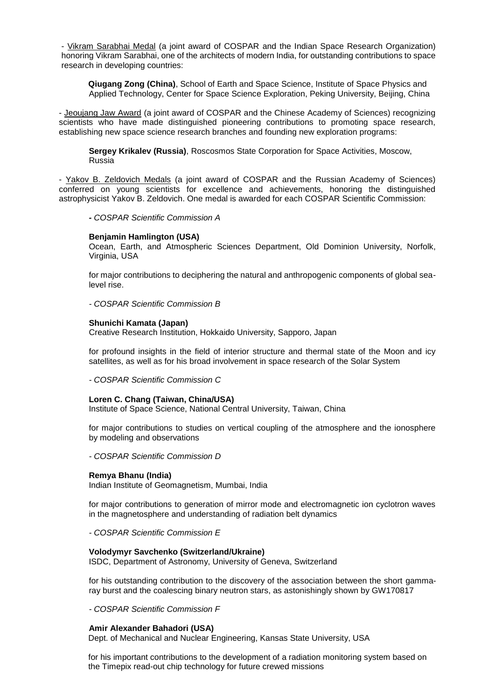- Vikram Sarabhai Medal (a joint award of COSPAR and the Indian Space Research Organization) honoring Vikram Sarabhai, one of the architects of modern India, for outstanding contributions to space research in developing countries:

**Qiugang Zong (China)**, School of Earth and Space Science, Institute of Space Physics and Applied Technology, Center for Space Science Exploration, Peking University, Beijing, China

- Jeoujang Jaw Award (a joint award of COSPAR and the Chinese Academy of Sciences) recognizing scientists who have made distinguished pioneering contributions to promoting space research, establishing new space science research branches and founding new exploration programs:

**Sergey Krikalev (Russia)**, Roscosmos State Corporation for Space Activities, Moscow, Russia

- Yakov B. Zeldovich Medals (a joint award of COSPAR and the Russian Academy of Sciences) conferred on young scientists for excellence and achievements, honoring the distinguished astrophysicist Yakov B. Zeldovich. One medal is awarded for each COSPAR Scientific Commission:

*- COSPAR Scientific Commission A*

#### **Benjamin Hamlington (USA)**

Ocean, Earth, and Atmospheric Sciences Department, Old Dominion University, Norfolk, Virginia, USA

for major contributions to deciphering the natural and anthropogenic components of global sealevel rise.

*- COSPAR Scientific Commission B*

#### **Shunichi Kamata (Japan)**

Creative Research Institution, Hokkaido University, Sapporo, Japan

for profound insights in the field of interior structure and thermal state of the Moon and icy satellites, as well as for his broad involvement in space research of the Solar System

*- COSPAR Scientific Commission C*

#### **Loren C. Chang (Taiwan, China/USA)**

Institute of Space Science, National Central University, Taiwan, China

for major contributions to studies on vertical coupling of the atmosphere and the ionosphere by modeling and observations

*- COSPAR Scientific Commission D*

#### **Remya Bhanu (India)**

Indian Institute of Geomagnetism, Mumbai, India

for major contributions to generation of mirror mode and electromagnetic ion cyclotron waves in the magnetosphere and understanding of radiation belt dynamics

*- COSPAR Scientific Commission E*

### **Volodymyr Savchenko (Switzerland/Ukraine)**

ISDC, Department of Astronomy, University of Geneva, Switzerland

for his outstanding contribution to the discovery of the association between the short gammaray burst and the coalescing binary neutron stars, as astonishingly shown by GW170817

*- COSPAR Scientific Commission F*

#### **Amir Alexander Bahadori (USA)**

Dept. of Mechanical and Nuclear Engineering, Kansas State University, USA

for his important contributions to the development of a radiation monitoring system based on the Timepix read-out chip technology for future crewed missions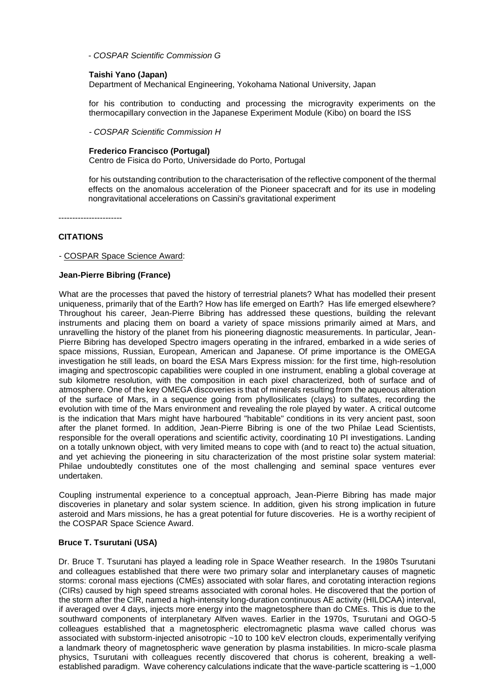*- COSPAR Scientific Commission G*

# **Taishi Yano (Japan)**

Department of Mechanical Engineering, Yokohama National University, Japan

for his contribution to conducting and processing the microgravity experiments on the thermocapillary convection in the Japanese Experiment Module (Kibo) on board the ISS

*- COSPAR Scientific Commission H*

## **Frederico Francisco (Portugal)**

Centro de Fisica do Porto, Universidade do Porto, Portugal

for his outstanding contribution to the characterisation of the reflective component of the thermal effects on the anomalous acceleration of the Pioneer spacecraft and for its use in modeling nongravitational accelerations on Cassini's gravitational experiment

-----------------------

# **CITATIONS**

## - COSPAR Space Science Award:

# **Jean-Pierre Bibring (France)**

What are the processes that paved the history of terrestrial planets? What has modelled their present uniqueness, primarily that of the Earth? How has life emerged on Earth? Has life emerged elsewhere? Throughout his career, Jean-Pierre Bibring has addressed these questions, building the relevant instruments and placing them on board a variety of space missions primarily aimed at Mars, and unravelling the history of the planet from his pioneering diagnostic measurements. In particular, Jean-Pierre Bibring has developed Spectro imagers operating in the infrared, embarked in a wide series of space missions, Russian, European, American and Japanese. Of prime importance is the OMEGA investigation he still leads, on board the ESA Mars Express mission: for the first time, high-resolution imaging and spectroscopic capabilities were coupled in one instrument, enabling a global coverage at sub kilometre resolution, with the composition in each pixel characterized, both of surface and of atmosphere. One of the key OMEGA discoveries is that of minerals resulting from the aqueous alteration of the surface of Mars, in a sequence going from phyllosilicates (clays) to sulfates, recording the evolution with time of the Mars environment and revealing the role played by water. A critical outcome is the indication that Mars might have harboured "habitable" conditions in its very ancient past, soon after the planet formed. In addition, Jean-Pierre Bibring is one of the two Philae Lead Scientists, responsible for the overall operations and scientific activity, coordinating 10 PI investigations. Landing on a totally unknown object, with very limited means to cope with (and to react to) the actual situation, and yet achieving the pioneering in situ characterization of the most pristine solar system material: Philae undoubtedly constitutes one of the most challenging and seminal space ventures ever undertaken.

Coupling instrumental experience to a conceptual approach, Jean-Pierre Bibring has made major discoveries in planetary and solar system science. In addition, given his strong implication in future asteroid and Mars missions, he has a great potential for future discoveries. He is a worthy recipient of the COSPAR Space Science Award.

## **Bruce T. Tsurutani (USA)**

Dr. Bruce T. Tsurutani has played a leading role in Space Weather research. In the 1980s Tsurutani and colleagues established that there were two primary solar and interplanetary causes of magnetic storms: coronal mass ejections (CMEs) associated with solar flares, and corotating interaction regions (CIRs) caused by high speed streams associated with coronal holes. He discovered that the portion of the storm after the CIR, named a high-intensity long-duration continuous AE activity (HILDCAA) interval, if averaged over 4 days, injects more energy into the magnetosphere than do CMEs. This is due to the southward components of interplanetary Alfven waves. Earlier in the 1970s, Tsurutani and OGO-5 colleagues established that a magnetospheric electromagnetic plasma wave called chorus was associated with substorm-injected anisotropic ~10 to 100 keV electron clouds, experimentally verifying a landmark theory of magnetospheric wave generation by plasma instabilities. In micro-scale plasma physics, Tsurutani with colleagues recently discovered that chorus is coherent, breaking a wellestablished paradigm. Wave coherency calculations indicate that the wave-particle scattering is ~1,000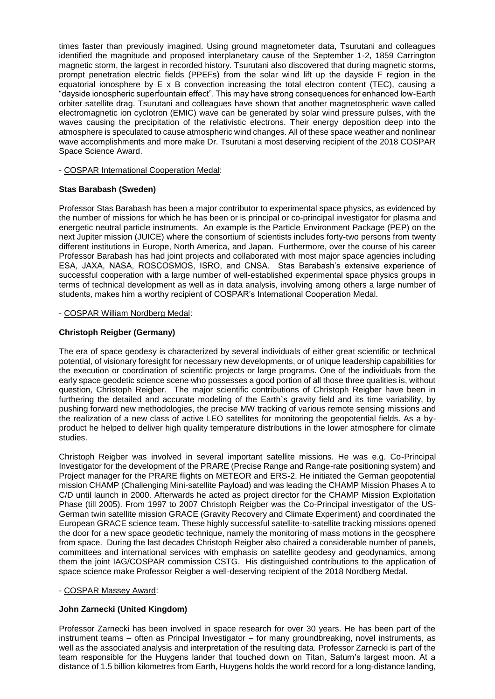times faster than previously imagined. Using ground magnetometer data, Tsurutani and colleagues identified the magnitude and proposed interplanetary cause of the September 1-2, 1859 Carrington magnetic storm, the largest in recorded history. Tsurutani also discovered that during magnetic storms, prompt penetration electric fields (PPEFs) from the solar wind lift up the dayside F region in the equatorial ionosphere by  $E \times B$  convection increasing the total electron content (TEC), causing a "dayside ionospheric superfountain effect". This may have strong consequences for enhanced low-Earth orbiter satellite drag. Tsurutani and colleagues have shown that another magnetospheric wave called electromagnetic ion cyclotron (EMIC) wave can be generated by solar wind pressure pulses, with the waves causing the precipitation of the relativistic electrons. Their energy deposition deep into the atmosphere is speculated to cause atmospheric wind changes. All of these space weather and nonlinear wave accomplishments and more make Dr. Tsurutani a most deserving recipient of the 2018 COSPAR Space Science Award.

- COSPAR International Cooperation Medal:

# **Stas Barabash (Sweden)**

Professor Stas Barabash has been a major contributor to experimental space physics, as evidenced by the number of missions for which he has been or is principal or co-principal investigator for plasma and energetic neutral particle instruments. An example is the Particle Environment Package (PEP) on the next Jupiter mission (JUICE) where the consortium of scientists includes forty-two persons from twenty different institutions in Europe, North America, and Japan. Furthermore, over the course of his career Professor Barabash has had joint projects and collaborated with most major space agencies including ESA, JAXA, NASA, ROSCOSMOS, ISRO, and CNSA. Stas Barabash's extensive experience of successful cooperation with a large number of well-established experimental space physics groups in terms of technical development as well as in data analysis, involving among others a large number of students, makes him a worthy recipient of COSPAR's International Cooperation Medal.

## - COSPAR William Nordberg Medal:

# **Christoph Reigber (Germany)**

The era of space geodesy is characterized by several individuals of either great scientific or technical potential, of visionary foresight for necessary new developments, or of unique leadership capabilities for the execution or coordination of scientific projects or large programs. One of the individuals from the early space geodetic science scene who possesses a good portion of all those three qualities is, without question, Christoph Reigber. The major scientific contributions of Christoph Reigber have been in furthering the detailed and accurate modeling of the Earth`s gravity field and its time variability, by pushing forward new methodologies, the precise MW tracking of various remote sensing missions and the realization of a new class of active LEO satellites for monitoring the geopotential fields. As a byproduct he helped to deliver high quality temperature distributions in the lower atmosphere for climate studies.

Christoph Reigber was involved in several important satellite missions. He was e.g. Co-Principal Investigator for the development of the PRARE (Precise Range and Range-rate positioning system) and Project manager for the PRARE flights on METEOR and ERS-2. He initiated the German geopotential mission CHAMP (Challenging Mini-satellite Payload) and was leading the CHAMP Mission Phases A to C/D until launch in 2000. Afterwards he acted as project director for the CHAMP Mission Exploitation Phase (till 2005). From 1997 to 2007 Christoph Reigber was the Co-Principal investigator of the US-German twin satellite mission GRACE (Gravity Recovery and Climate Experiment) and coordinated the European GRACE science team. These highly successful satellite-to-satellite tracking missions opened the door for a new space geodetic technique, namely the monitoring of mass motions in the geosphere from space. During the last decades Christoph Reigber also chaired a considerable number of panels, committees and international services with emphasis on satellite geodesy and geodynamics, among them the joint IAG/COSPAR commission CSTG. His distinguished contributions to the application of space science make Professor Reigber a well-deserving recipient of the 2018 Nordberg Medal.

## - COSPAR Massey Award:

# **John Zarnecki (United Kingdom)**

Professor Zarnecki has been involved in space research for over 30 years. He has been part of the instrument teams – often as Principal Investigator – for many groundbreaking, novel instruments, as well as the associated analysis and interpretation of the resulting data. Professor Zarnecki is part of the team responsible for the Huygens lander that touched down on Titan, Saturn's largest moon. At a distance of 1.5 billion kilometres from Earth, Huygens holds the world record for a long-distance landing,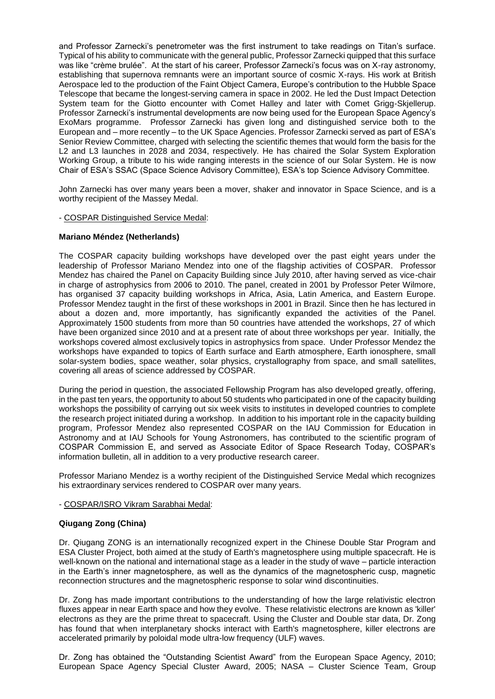and Professor Zarnecki's penetrometer was the first instrument to take readings on Titan's surface. Typical of his ability to communicate with the general public, Professor Zarnecki quipped that this surface was like "crème brulée". At the start of his career, Professor Zarnecki's focus was on X-ray astronomy, establishing that supernova remnants were an important source of cosmic X-rays. His work at British Aerospace led to the production of the Faint Object Camera, Europe's contribution to the Hubble Space Telescope that became the longest-serving camera in space in 2002. He led the Dust Impact Detection System team for the Giotto encounter with Comet Halley and later with Comet Grigg-Skjellerup. Professor Zarnecki's instrumental developments are now being used for the European Space Agency's ExoMars programme. Professor Zarnecki has given long and distinguished service both to the European and – more recently – to the UK Space Agencies. Professor Zarnecki served as part of ESA's Senior Review Committee, charged with selecting the scientific themes that would form the basis for the L2 and L3 launches in 2028 and 2034, respectively. He has chaired the Solar System Exploration Working Group, a tribute to his wide ranging interests in the science of our Solar System. He is now Chair of ESA's SSAC (Space Science Advisory Committee), ESA's top Science Advisory Committee.

John Zarnecki has over many years been a mover, shaker and innovator in Space Science, and is a worthy recipient of the Massey Medal.

## - COSPAR Distinguished Service Medal:

## **Mariano Méndez (Netherlands)**

The COSPAR capacity building workshops have developed over the past eight years under the leadership of Professor Mariano Mendez into one of the flagship activities of COSPAR. Professor Mendez has chaired the Panel on Capacity Building since July 2010, after having served as vice-chair in charge of astrophysics from 2006 to 2010. The panel, created in 2001 by Professor Peter Wilmore, has organised 37 capacity building workshops in Africa, Asia, Latin America, and Eastern Europe. Professor Mendez taught in the first of these workshops in 2001 in Brazil. Since then he has lectured in about a dozen and, more importantly, has significantly expanded the activities of the Panel. Approximately 1500 students from more than 50 countries have attended the workshops, 27 of which have been organized since 2010 and at a present rate of about three workshops per year. Initially, the workshops covered almost exclusively topics in astrophysics from space. Under Professor Mendez the workshops have expanded to topics of Earth surface and Earth atmosphere, Earth ionosphere, small solar-system bodies, space weather, solar physics, crystallography from space, and small satellites, covering all areas of science addressed by COSPAR.

During the period in question, the associated Fellowship Program has also developed greatly, offering, in the past ten years, the opportunity to about 50 students who participated in one of the capacity building workshops the possibility of carrying out six week visits to institutes in developed countries to complete the research project initiated during a workshop. In addition to his important role in the capacity building program, Professor Mendez also represented COSPAR on the IAU Commission for Education in Astronomy and at IAU Schools for Young Astronomers, has contributed to the scientific program of COSPAR Commission E, and served as Associate Editor of Space Research Today, COSPAR's information bulletin, all in addition to a very productive research career.

Professor Mariano Mendez is a worthy recipient of the Distinguished Service Medal which recognizes his extraordinary services rendered to COSPAR over many years.

#### - COSPAR/ISRO Vikram Sarabhai Medal:

## **Qiugang Zong (China)**

Dr. Qiugang ZONG is an internationally recognized expert in the Chinese Double Star Program and ESA Cluster Project, both aimed at the study of Earth's magnetosphere using multiple spacecraft. He is well-known on the national and international stage as a leader in the study of wave – particle interaction in the Earth's inner magnetosphere, as well as the dynamics of the magnetospheric cusp, magnetic reconnection structures and the magnetospheric response to solar wind discontinuities.

Dr. Zong has made important contributions to the understanding of how the large relativistic electron fluxes appear in near Earth space and how they evolve. These relativistic electrons are known as 'killer' electrons as they are the prime threat to spacecraft. Using the Cluster and Double star data, Dr. Zong has found that when interplanetary shocks interact with Earth's magnetosphere, killer electrons are accelerated primarily by poloidal mode ultra-low frequency (ULF) waves.

Dr. Zong has obtained the "Outstanding Scientist Award" from the European Space Agency, 2010; European Space Agency Special Cluster Award, 2005; NASA – Cluster Science Team, Group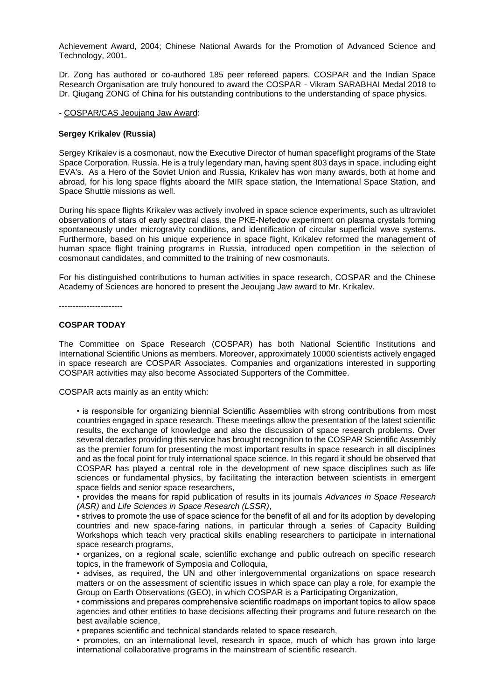Achievement Award, 2004; Chinese National Awards for the Promotion of Advanced Science and Technology, 2001.

Dr. Zong has authored or co-authored 185 peer refereed papers. COSPAR and the Indian Space Research Organisation are truly honoured to award the COSPAR - Vikram SARABHAI Medal 2018 to Dr. Qiugang ZONG of China for his outstanding contributions to the understanding of space physics.

#### - COSPAR/CAS Jeoujang Jaw Award:

### **Sergey Krikalev (Russia)**

Sergey Krikalev is a cosmonaut, now the Executive Director of human spaceflight programs of the State Space Corporation, Russia. He is a truly legendary man, having spent 803 days in space, including eight EVA's. As a Hero of the Soviet Union and Russia, Krikalev has won many awards, both at home and abroad, for his long space flights aboard the MIR space station, the International Space Station, and Space Shuttle missions as well.

During his space flights Krikalev was actively involved in space science experiments, such as ultraviolet observations of stars of early spectral class, the PKE-Nefedov experiment on plasma crystals forming spontaneously under microgravity conditions, and identification of circular superficial wave systems. Furthermore, based on his unique experience in space flight, Krikalev reformed the management of human space flight training programs in Russia, introduced open competition in the selection of cosmonaut candidates, and committed to the training of new cosmonauts.

For his distinguished contributions to human activities in space research, COSPAR and the Chinese Academy of Sciences are honored to present the Jeoujang Jaw award to Mr. Krikalev.

-----------------------

# **COSPAR TODAY**

The Committee on Space Research (COSPAR) has both National Scientific Institutions and International Scientific Unions as members. Moreover, approximately 10000 scientists actively engaged in space research are COSPAR Associates. Companies and organizations interested in supporting COSPAR activities may also become Associated Supporters of the Committee.

COSPAR acts mainly as an entity which:

• is responsible for organizing biennial Scientific Assemblies with strong contributions from most countries engaged in space research. These meetings allow the presentation of the latest scientific results, the exchange of knowledge and also the discussion of space research problems. Over several decades providing this service has brought recognition to the COSPAR Scientific Assembly as the premier forum for presenting the most important results in space research in all disciplines and as the focal point for truly international space science. In this regard it should be observed that COSPAR has played a central role in the development of new space disciplines such as life sciences or fundamental physics, by facilitating the interaction between scientists in emergent space fields and senior space researchers,

• provides the means for rapid publication of results in its journals *Advances in Space Research (ASR)* and *Life Sciences in Space Research (LSSR)*,

• strives to promote the use of space science for the benefit of all and for its adoption by developing countries and new space-faring nations, in particular through a series of Capacity Building Workshops which teach very practical skills enabling researchers to participate in international space research programs,

• organizes, on a regional scale, scientific exchange and public outreach on specific research topics, in the framework of Symposia and Colloquia,

• advises, as required, the UN and other intergovernmental organizations on space research matters or on the assessment of scientific issues in which space can play a role, for example the Group on Earth Observations (GEO), in which COSPAR is a Participating Organization,

• commissions and prepares comprehensive scientific roadmaps on important topics to allow space agencies and other entities to base decisions affecting their programs and future research on the best available science,

• prepares scientific and technical standards related to space research,

• promotes, on an international level, research in space, much of which has grown into large international collaborative programs in the mainstream of scientific research.